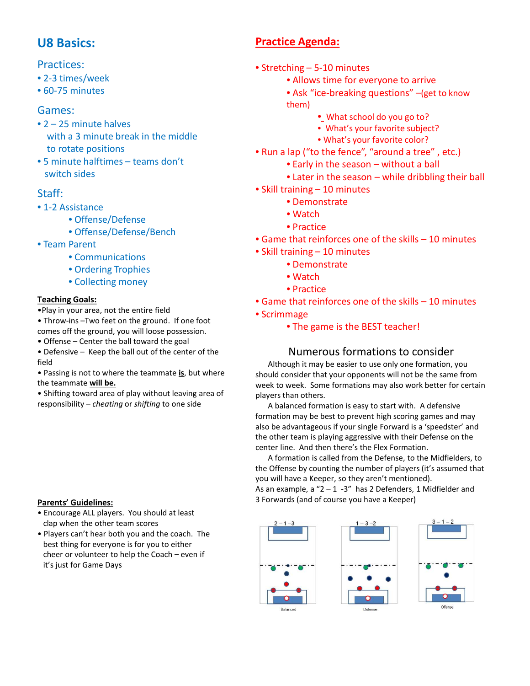## **U8 Basics:**

### Practices:

- 2-3 times/week
- 60-75 minutes

### Games:

- 2 25 minute halves with a 3 minute break in the middle to rotate positions
- 5 minute halftimes teams don't switch sides

### Staff:

- 1-2 Assistance
	- Offense/Defense
	- Offense/Defense/Bench
- Team Parent
	- Communications
	- Ordering Trophies
	- Collecting money

### **Teaching Goals:**

- •Play in your area, not the entire field
- Throw-ins –Two feet on the ground. If one foot comes off the ground, you will loose possession.
- Offense Center the ball toward the goal
- Defensive Keep the ball out of the center of the field
- Passing is not to where the teammate **is**, but where the teammate **will be.**
- Shifting toward area of play without leaving area of responsibility – *cheating* or *shifting* to one side

### **Parents' Guidelines:**

- Encourage ALL players. You should at least clap when the other team scores
- Players can't hear both you and the coach. The best thing for everyone is for you to either cheer or volunteer to help the Coach – even if it's just for Game Days

# **Practice Agenda:**

- Stretching 5-10 minutes
	- Allows time for everyone to arrive
	- Ask "ice-breaking questions" –(get to know them)
		- What school do you go to?
		- What's your favorite subject?
		- What's your favorite color?
- Run a lap ("to the fence", "around a tree" , etc.)
	- Early in the season without a ball
	- Later in the season while dribbling their ball
- Skill training 10 minutes
	- Demonstrate
	- Watch
	- Practice
- Game that reinforces one of the skills 10 minutes
- Skill training 10 minutes
	- Demonstrate
	- Watch
	- Practice
- Game that reinforces one of the skills 10 minutes
- Scrimmage
	- The game is the BEST teacher!

### Numerous formations to consider

Although it may be easier to use only one formation, you should consider that your opponents will not be the same from week to week. Some formations may also work better for certain players than others.

A balanced formation is easy to start with. A defensive formation may be best to prevent high scoring games and may also be advantageous if your single Forward is a 'speedster' and the other team is playing aggressive with their Defense on the center line. And then there's the Flex Formation.

A formation is called from the Defense, to the Midfielders, to the Offense by counting the number of players (it's assumed that you will have a Keeper, so they aren't mentioned).

As an example, a  $"2 - 1$  -3" has 2 Defenders, 1 Midfielder and 3 Forwards (and of course you have a Keeper)

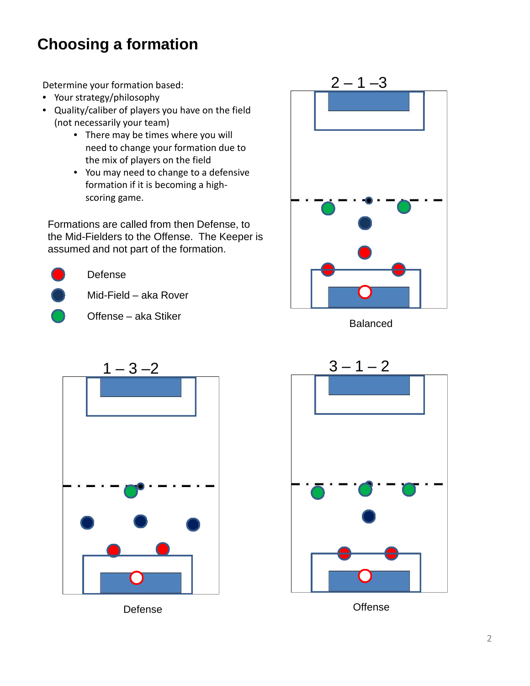# **Choosing a formation**

Determine your formation based:

- Your strategy/philosophy
- Quality/caliber of players you have on the field (not necessarily your team)
	- There may be times where you will need to change your formation due to the mix of players on the field
	- You may need to change to a defensive formation if it is becoming a highscoring game.

Formations are called from then Defense, to the Mid-Fielders to the Offense. The Keeper is assumed and not part of the formation.



Defense

- Mid-Field aka Rover
- Offense aka Stiker



Balanced



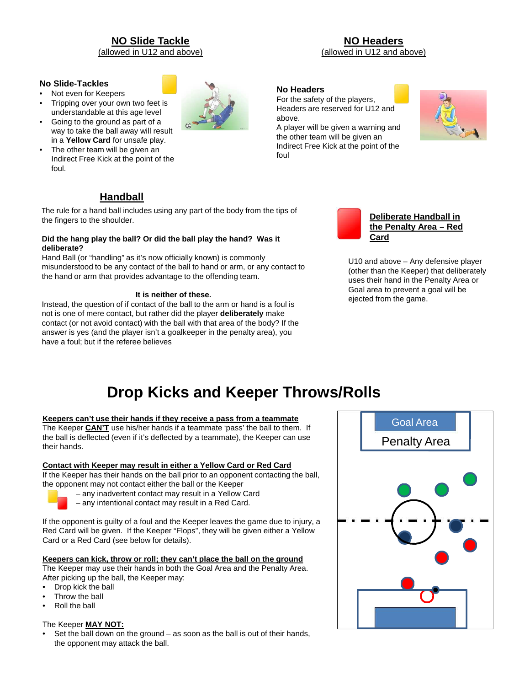## **NO Slide Tackle**

(allowed in U12 and above)

#### **No Slide-Tackles**

- Not even for Keepers
- Tripping over your own two feet is understandable at this age level
- Going to the ground as part of a way to take the ball away will result in a **Yellow Card** for unsafe play.
- The other team will be given an Indirect Free Kick at the point of the foul.

**NO Headers** (allowed in U12 and above)

#### **No Headers**

For the safety of the players, Headers are reserved for U12 and above.

A player will be given a warning and the other team will be given an Indirect Free Kick at the point of the foul





The rule for a hand ball includes using any part of the body from the tips of the fingers to the shoulder.

#### **Did the hang play the ball? Or did the ball play the hand? Was it deliberate?**

Hand Ball (or "handling" as it's now officially known) is commonly misunderstood to be any contact of the ball to hand or arm, or any contact to the hand or arm that provides advantage to the offending team.

#### **It is neither of these.**

Instead, the question of if contact of the ball to the arm or hand is a foul is not is one of mere contact, but rather did the player **deliberately** make contact (or not avoid contact) with the ball with that area of the body? If the answer is yes (and the player isn't a goalkeeper in the penalty area), you have a foul; but if the referee believes



U10 and above – Any defensive player (other than the Keeper) that deliberately uses their hand in the Penalty Area or Goal area to prevent a goal will be ejected from the game.

# **Drop Kicks and Keeper Throws/Rolls**

#### **Keepers can't use their hands if they receive a pass from a teammate**

The Keeper **CAN'T** use his/her hands if a teammate 'pass' the ball to them. If the ball is deflected (even if it's deflected by a teammate), the Keeper can use their hands.

#### **Contact with Keeper may result in either a Yellow Card or Red Card**

If the Keeper has their hands on the ball prior to an opponent contacting the ball, the opponent may not contact either the ball or the Keeper



- any inadvertent contact may result in a Yellow Card
- any intentional contact may result in a Red Card.

If the opponent is guilty of a foul and the Keeper leaves the game due to injury, a Red Card will be given. If the Keeper "Flops", they will be given either a Yellow Card or a Red Card (see below for details).

#### **Keepers can kick, throw or roll; they can't place the ball on the ground**

The Keeper may use their hands in both the Goal Area and the Penalty Area. After picking up the ball, the Keeper may:

- Drop kick the ball
- Throw the ball
- Roll the ball

#### The Keeper **MAY NOT:**

• Set the ball down on the ground – as soon as the ball is out of their hands, the opponent may attack the ball.



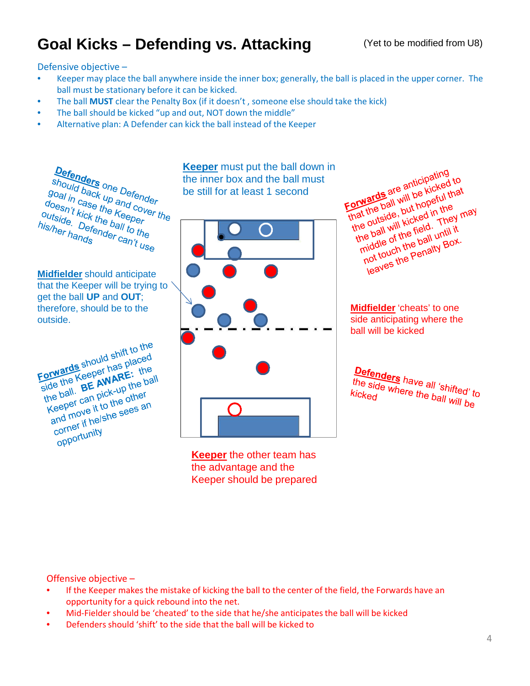# Goal Kicks – Defending vs. Attacking **Coal Kicks – Defending vs. Attacking** (Yet to be modified from U8)

Defensive objective –

- Keeper may place the ball anywhere inside the inner box; generally, the ball is placed in the upper corner. The ball must be stationary before it can be kicked.
- The ball **MUST** clear the Penalty Box (if it doesn't , someone else should take the kick)
- The ball should be kicked "up and out, NOT down the middle"
- Alternative plan: A Defender can kick the ball instead of the Keeper

**Defenders**<br>should back up a Defender<br>loal in case the ind cover<br>despix ase the ind cover **Defenders**<br>Should back up and cover<br>Joesn't kick the Keeper<br>Itside. Define ball to the Keeper<br>Liside. Define ball to the snould back up and cover<br>goal in case up and cove<br>doesn't kick the Keeper<br>s/be. Defer ball to u *goal in case the and covel*<br>doesn't kick the Keeper<br>outside. Defended to the<br>is/her hands doesn't kick the Keeper<br>outside. Defended to the<br>his/her hands<br>his/her hands outside. Defe<br>his/her hands

**Midfielder** should anticipate that the Keeper will be trying to get the ball **UP** and **OUT**; therefore, should be to the outside.

Forwards should shift to the<br>Forwards should shift to the<br>Fide the Keeper has placed Forwards should shift to the<br>Forwards should shift to the<br>side the Keeper has placed<br>sho ball. Be pick-up the ball orwards should has placed<br>side the Keeper has placed<br>the ball. **BE AWARE:** the ball<br>the ball. **BE AWARE:** the ball orward Keeper Mark: the<br>ide the Keeper AWARE: the ball<br>the ball. BE AWARE: the ball<br>Keeper can pick-up the other<br>Keeper can to the other de the **BE Ave**<br>
The ball. **BE Ave**<br>
Keeper can pick-up the other<br>
and move it to the sees an<br>
and move it helshe sees an the best can plus the other<br>ceeper can plus to the other<br>and move it to the sees an<br>corner if helshe sees an corner II III<br>opportunity

the inner box and the ball must be still for at least 1 second



**Keeper** the other team has the advantage and the Keeper should be prepared

**Keeper** must put the ball down in<br>the inner box and the ball must<br>be still for at least 1 second<br>**Example 2018** and the still for at least 1 second orwards are anticiped to<br>that the ball will be kicked to<br>that the ball will be hopeful that<br>the outside, but hope in the will kicked in They m orward and will be petul in the ball will be posted in the ball will kicked in the the ball will be field. They The ball will hopelum<br>at the ball will kicked in the may<br>ne outside, but hopelum They may<br>the ball will kicked until it<br>the ball with a ball until it<br>middle of the ball until it<br>middle of the ball with Box. e outside kicked. They<br>he ball will kicked. They<br>middle of the ball until it<br>middle of the penalty Box. e ball in the field until it.<br>niddle of the ball until it<br>not touch the penaity Box.<br>not touch the Penaity Box.

**Midfielder** 'cheats' to one side anticipating where the ball will be kicked

Defenders have all 'shifted' to<br>the side where the ball will to the side where the ball 'shifted' to<br>kicked<br>kicked kicked

Offensive objective –

- If the Keeper makes the mistake of kicking the ball to the center of the field, the Forwards have an opportunity for a quick rebound into the net.
- Mid-Fielder should be 'cheated' to the side that he/she anticipates the ball will be kicked
- Defenders should 'shift' to the side that the ball will be kicked to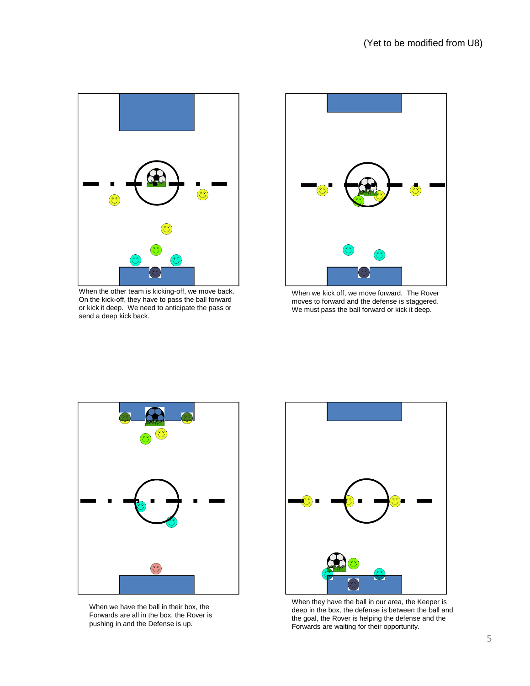

When the other team is kicking-off, we move back. On the kick-off, they have to pass the ball forward or kick it deep. We need to anticipate the pass or send a deep kick back.



When we kick off, we move forward. The Rover moves to forward and the defense is staggered. We must pass the ball forward or kick it deep.



When we have the ball in their box, the Forwards are all in the box, the Rover is pushing in and the Defense is up.



When they have the ball in our area, the Keeper is deep in the box, the defense is between the ball and the goal, the Rover is helping the defense and the Forwards are waiting for their opportunity.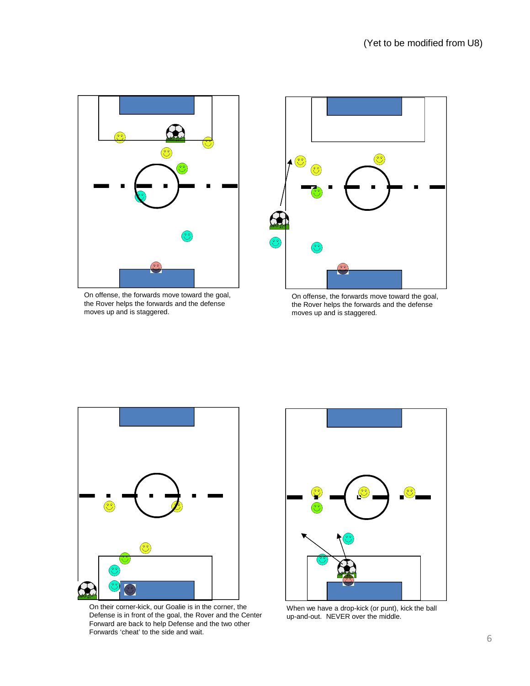

On offense, the forwards move toward the goal, the Rover helps the forwards and the defense moves up and is staggered.



On offense, the forwards move toward the goal, the Rover helps the forwards and the defense moves up and is staggered.



On their corner-kick, our Goalie is in the corner, the Defense is in front of the goal, the Rover and the Center Forward are back to help Defense and the two other Forwards 'cheat' to the side and wait.



When we have a drop-kick (or punt), kick the ball up-and-out. NEVER over the middle.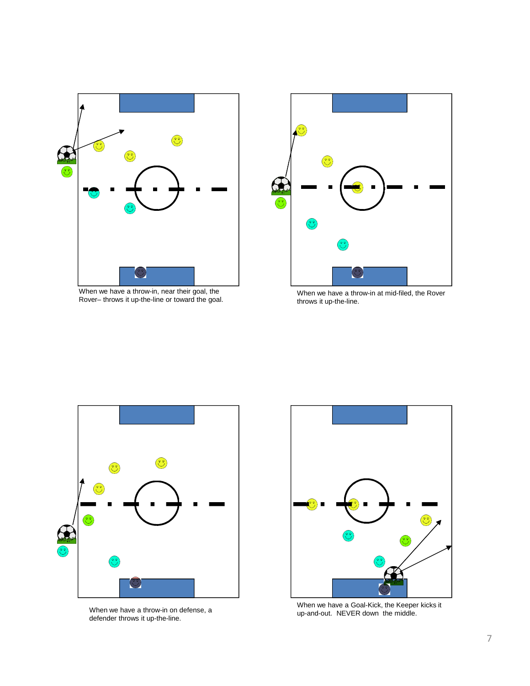

When we have a throw-in, near their goal, the Rover– throws it up-the-line or toward the goal.



When we have a throw-in at mid-filed, the Rover throws it up-the-line.



When we have a throw-in on defense, a defender throws it up-the-line.



When we have a Goal-Kick, the Keeper kicks it up-and-out. NEVER down the middle.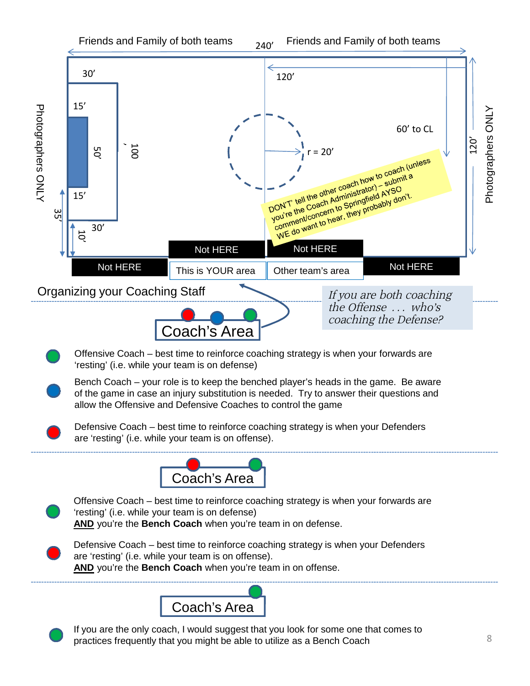

practices frequently that you might be able to utilize as a Bench Coach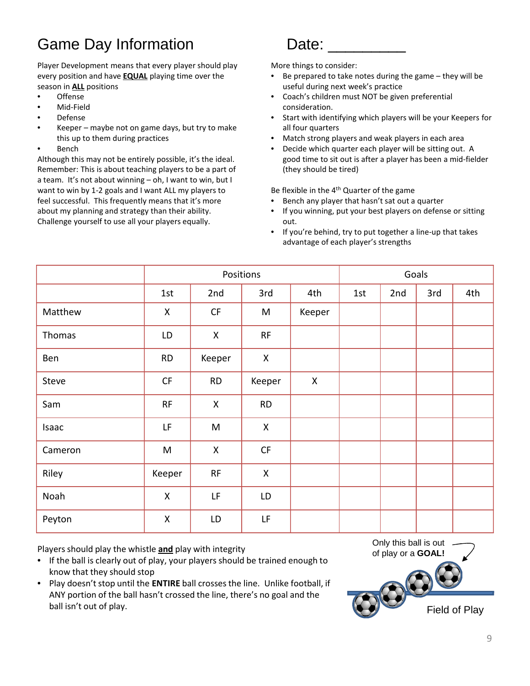# Game Day Information **Date:**

Player Development means that every player should play every position and have **EQUAL** playing time over the season in **ALL** positions

- Offense
- Mid-Field
- Defense
- Keeper maybe not on game days, but try to make this up to them during practices
- **Bench**

Although this may not be entirely possible, it's the ideal. Remember: This is about teaching players to be a part of a team. It's not about winning – oh, I want to win, but I want to win by 1-2 goals and I want ALL my players to feel successful. This frequently means that it's more about my planning and strategy than their ability. Challenge yourself to use all your players equally.

More things to consider:

- Be prepared to take notes during the game  $-$  they will be useful during next week's practice
- Coach's children must NOT be given preferential consideration.
- Start with identifying which players will be your Keepers for all four quarters
- Match strong players and weak players in each area
- Decide which quarter each player will be sitting out. A good time to sit out is after a player has been a mid-fielder (they should be tired)

Be flexible in the 4<sup>th</sup> Quarter of the game

- Bench any player that hasn't sat out a quarter
- If you winning, put your best players on defense or sitting out.
- If you're behind, try to put together a line-up that takes advantage of each player's strengths

|         | Positions          |                    |              |        | Goals |     |     |     |  |
|---------|--------------------|--------------------|--------------|--------|-------|-----|-----|-----|--|
|         | 1st                | 2nd                | 3rd          | 4th    | 1st   | 2nd | 3rd | 4th |  |
| Matthew | X                  | CF                 | M            | Keeper |       |     |     |     |  |
| Thomas  | LD                 | $\mathsf{X}$       | RF           |        |       |     |     |     |  |
| Ben     | <b>RD</b>          | Keeper             | $\mathsf{X}$ |        |       |     |     |     |  |
| Steve   | CF                 | RD                 | Keeper       | X      |       |     |     |     |  |
| Sam     | <b>RF</b>          | $\mathsf{X}$       | <b>RD</b>    |        |       |     |     |     |  |
| Isaac   | LF                 | M                  | $\mathsf{X}$ |        |       |     |     |     |  |
| Cameron | ${\sf M}$          | $\pmb{\mathsf{X}}$ | CF           |        |       |     |     |     |  |
| Riley   | Keeper             | RF                 | X            |        |       |     |     |     |  |
| Noah    | $\pmb{\mathsf{X}}$ | LF                 | LD           |        |       |     |     |     |  |
| Peyton  | X                  | LD                 | LF           |        |       |     |     |     |  |

Players should play the whistle **and** play with integrity of players should play the whistle **and** play with integrity of players of players and **GOAL!** 

- If the ball is clearly out of play, your players should be trained enough to know that they should stop
- Play doesn't stop until the **ENTIRE** ball crosses the line. Unlike football, if ANY portion of the ball hasn't crossed the line, there's no goal and the ball isn't out of play.